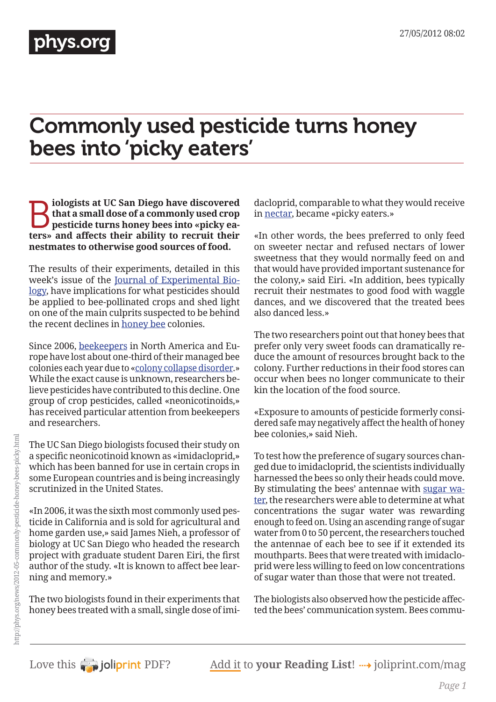## Commonly used pesticide turns honey bees into 'picky eaters'

**B** iologists at UC San Diego have discovered<br>that a small dose of a commonly used crop<br>pesticide turns honey bees into «picky ea-<br>tors» and affects their ability to recruit their **that a small dose of a commonly used crop pesticide turns honey bees into «picky eaters» and affects their ability to recruit their nestmates to otherwise good sources of food.**

The results of their experiments, detailed in this week's issue of the [Journal of Experimental Bio](http://phys.org/tags/journal+of+experimental+biology/)[logy,](http://phys.org/tags/journal+of+experimental+biology/) have implications for what pesticides should be applied to bee-pollinated crops and shed light on one of the main culprits suspected to be behind the recent declines in [honey bee](http://phys.org/tags/honey+bee/) colonies.

Since 2006, [beekeepers](http://phys.org/tags/beekeepers/) in North America and Europe have lost about one-third of their managed bee colonies each year due to [«colony collapse disorder.](http://phys.org/tags/colony+collapse+disorder/)» While the exact cause is unknown, researchers believe pesticides have contributed to this decline. One group of crop pesticides, called «neonicotinoids,» has received particular attention from beekeepers and researchers.

The UC San Diego biologists focused their study on a specific neonicotinoid known as «imidacloprid,» which has been banned for use in certain crops in some European countries and is being increasingly scrutinized in the United States.

«In 2006, it was the sixth most commonly used pesticide in California and is sold for agricultural and home garden use,» said James Nieh, a professor of biology at UC San Diego who headed the research project with graduate student Daren Eiri, the first author of the study. «It is known to affect bee learning and memory.»

The two biologists found in their experiments that honey bees treated with a small, single dose of imidacloprid, comparable to what they would receive in [nectar](http://phys.org/tags/nectar/), became «picky eaters.»

«In other words, the bees preferred to only feed on sweeter nectar and refused nectars of lower sweetness that they would normally feed on and that would have provided important sustenance for the colony,» said Eiri. «In addition, bees typically recruit their nestmates to good food with waggle dances, and we discovered that the treated bees also danced less.»

The two researchers point out that honey bees that prefer only very sweet foods can dramatically reduce the amount of resources brought back to the colony. Further reductions in their food stores can occur when bees no longer communicate to their kin the location of the food source.

«Exposure to amounts of pesticide formerly considered safe may negatively affect the health of honey bee colonies,» said Nieh.

To test how the preference of sugary sources changed due to imidacloprid, the scientists individually harnessed the bees so only their heads could move. By stimulating the bees' antennae with [sugar wa](http://phys.org/tags/sugar+water/)[ter,](http://phys.org/tags/sugar+water/) the researchers were able to determine at what concentrations the sugar water was rewarding enough to feed on. Using an ascending range of sugar water from 0 to 50 percent, the researchers touched the antennae of each bee to see if it extended its mouthparts. Bees that were treated with imidacloprid were less willing to feed on low concentrations of sugar water than those that were not treated.

The biologists also observed how the pesticide affected the bees' communication system. Bees commu-